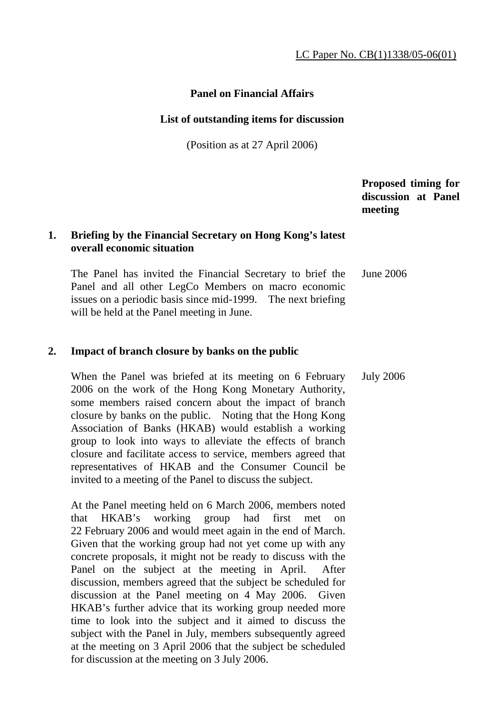# **Panel on Financial Affairs**

#### **List of outstanding items for discussion**

(Position as at 27 April 2006)

 **Proposed timing for discussion at Panel meeting** 

# **1. Briefing by the Financial Secretary on Hong Kong's latest overall economic situation**

 The Panel has invited the Financial Secretary to brief the Panel and all other LegCo Members on macro economic issues on a periodic basis since mid-1999. The next briefing will be held at the Panel meeting in June. June 2006

#### **2. Impact of branch closure by banks on the public**

 When the Panel was briefed at its meeting on 6 February 2006 on the work of the Hong Kong Monetary Authority, some members raised concern about the impact of branch closure by banks on the public. Noting that the Hong Kong Association of Banks (HKAB) would establish a working group to look into ways to alleviate the effects of branch closure and facilitate access to service, members agreed that representatives of HKAB and the Consumer Council be invited to a meeting of the Panel to discuss the subject. July 2006

 At the Panel meeting held on 6 March 2006, members noted that HKAB's working group had first met on 22 February 2006 and would meet again in the end of March. Given that the working group had not yet come up with any concrete proposals, it might not be ready to discuss with the Panel on the subject at the meeting in April. After discussion, members agreed that the subject be scheduled for discussion at the Panel meeting on 4 May 2006. Given HKAB's further advice that its working group needed more time to look into the subject and it aimed to discuss the subject with the Panel in July, members subsequently agreed at the meeting on 3 April 2006 that the subject be scheduled for discussion at the meeting on 3 July 2006.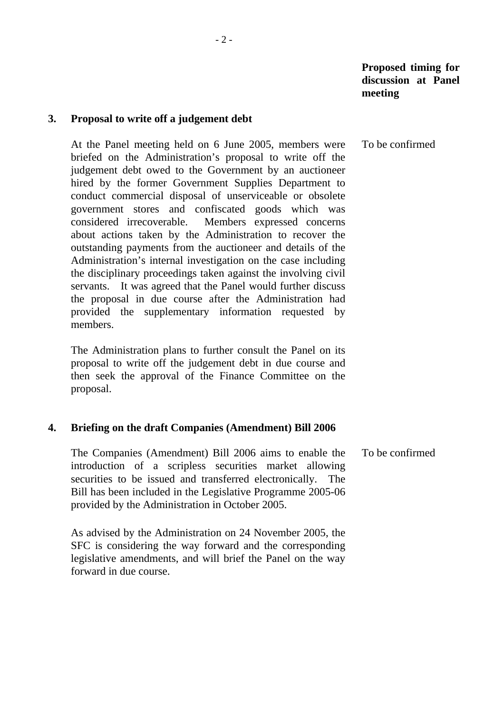#### **3. Proposal to write off a judgement debt**

 At the Panel meeting held on 6 June 2005, members were briefed on the Administration's proposal to write off the judgement debt owed to the Government by an auctioneer hired by the former Government Supplies Department to conduct commercial disposal of unserviceable or obsolete government stores and confiscated goods which was considered irrecoverable. Members expressed concerns about actions taken by the Administration to recover the outstanding payments from the auctioneer and details of the Administration's internal investigation on the case including the disciplinary proceedings taken against the involving civil servants. It was agreed that the Panel would further discuss the proposal in due course after the Administration had provided the supplementary information requested by members. To be confirmed

 The Administration plans to further consult the Panel on its proposal to write off the judgement debt in due course and then seek the approval of the Finance Committee on the proposal.

#### **4. Briefing on the draft Companies (Amendment) Bill 2006**

 The Companies (Amendment) Bill 2006 aims to enable the introduction of a scripless securities market allowing securities to be issued and transferred electronically. The Bill has been included in the Legislative Programme 2005-06 provided by the Administration in October 2005. To be confirmed

 As advised by the Administration on 24 November 2005, the SFC is considering the way forward and the corresponding legislative amendments, and will brief the Panel on the way forward in due course.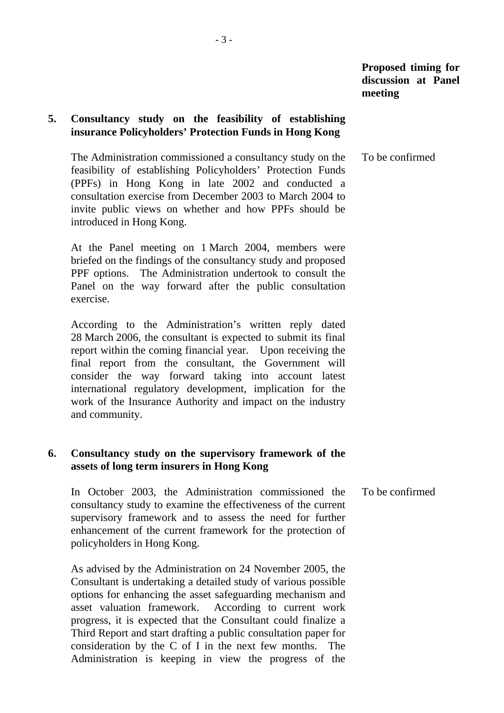# **5. Consultancy study on the feasibility of establishing insurance Policyholders' Protection Funds in Hong Kong**

 The Administration commissioned a consultancy study on the feasibility of establishing Policyholders' Protection Funds (PPFs) in Hong Kong in late 2002 and conducted a consultation exercise from December 2003 to March 2004 to invite public views on whether and how PPFs should be introduced in Hong Kong. To be confirmed

 At the Panel meeting on 1 March 2004, members were briefed on the findings of the consultancy study and proposed PPF options. The Administration undertook to consult the Panel on the way forward after the public consultation exercise.

 According to the Administration's written reply dated 28 March 2006, the consultant is expected to submit its final report within the coming financial year. Upon receiving the final report from the consultant, the Government will consider the way forward taking into account latest international regulatory development, implication for the work of the Insurance Authority and impact on the industry and community.

## **6. Consultancy study on the supervisory framework of the assets of long term insurers in Hong Kong**

 In October 2003, the Administration commissioned the consultancy study to examine the effectiveness of the current supervisory framework and to assess the need for further enhancement of the current framework for the protection of policyholders in Hong Kong. To be confirmed

 As advised by the Administration on 24 November 2005, the Consultant is undertaking a detailed study of various possible options for enhancing the asset safeguarding mechanism and asset valuation framework. According to current work progress, it is expected that the Consultant could finalize a Third Report and start drafting a public consultation paper for consideration by the C of I in the next few months. The Administration is keeping in view the progress of the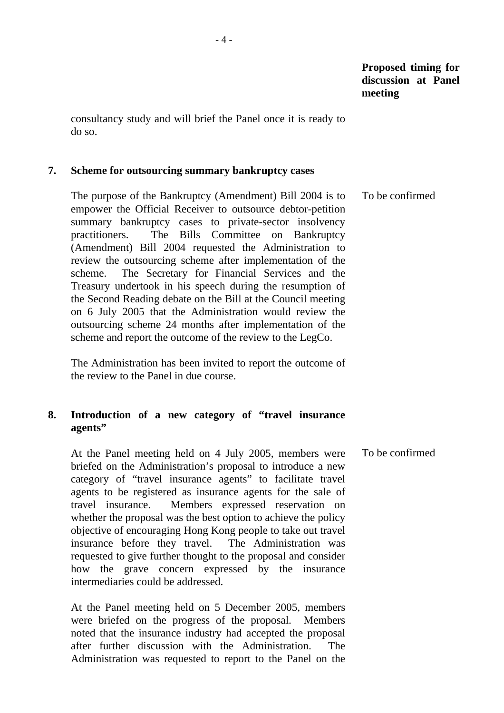consultancy study and will brief the Panel once it is ready to do so.

#### **7. Scheme for outsourcing summary bankruptcy cases**

 The purpose of the Bankruptcy (Amendment) Bill 2004 is to empower the Official Receiver to outsource debtor-petition summary bankruptcy cases to private-sector insolvency practitioners. The Bills Committee on Bankruptcy (Amendment) Bill 2004 requested the Administration to review the outsourcing scheme after implementation of the scheme. The Secretary for Financial Services and the Treasury undertook in his speech during the resumption of the Second Reading debate on the Bill at the Council meeting on 6 July 2005 that the Administration would review the outsourcing scheme 24 months after implementation of the scheme and report the outcome of the review to the LegCo. To be confirmed

 The Administration has been invited to report the outcome of the review to the Panel in due course.

# **8. Introduction of a new category of "travel insurance agents"**

 At the Panel meeting held on 4 July 2005, members were briefed on the Administration's proposal to introduce a new category of "travel insurance agents" to facilitate travel agents to be registered as insurance agents for the sale of travel insurance. Members expressed reservation on whether the proposal was the best option to achieve the policy objective of encouraging Hong Kong people to take out travel insurance before they travel. The Administration was requested to give further thought to the proposal and consider how the grave concern expressed by the insurance intermediaries could be addressed. To be confirmed

 At the Panel meeting held on 5 December 2005, members were briefed on the progress of the proposal. Members noted that the insurance industry had accepted the proposal after further discussion with the Administration. The Administration was requested to report to the Panel on the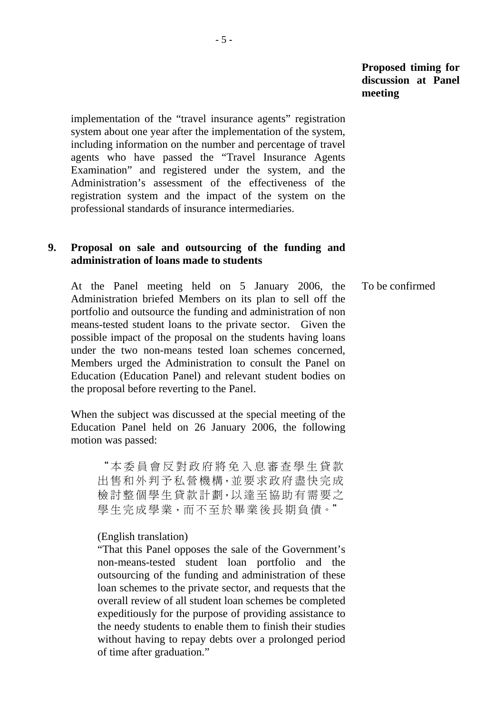implementation of the "travel insurance agents" registration system about one year after the implementation of the system, including information on the number and percentage of travel agents who have passed the "Travel Insurance Agents Examination" and registered under the system, and the Administration's assessment of the effectiveness of the registration system and the impact of the system on the professional standards of insurance intermediaries.

# **9. Proposal on sale and outsourcing of the funding and administration of loans made to students**

 At the Panel meeting held on 5 January 2006, the Administration briefed Members on its plan to sell off the portfolio and outsource the funding and administration of non means-tested student loans to the private sector. Given the possible impact of the proposal on the students having loans under the two non-means tested loan schemes concerned, Members urged the Administration to consult the Panel on Education (Education Panel) and relevant student bodies on the proposal before reverting to the Panel. To be confirmed

 When the subject was discussed at the special meeting of the Education Panel held on 26 January 2006, the following motion was passed:

"本委員會反對政府將免入息審查學生貸款 出售和外判予私營機構,並要求政府盡快完成 檢討整個學生貸款計劃,以達至協助有需要之 學生完成學業,而不至於畢業後長期負債。"

#### (English translation)

"That this Panel opposes the sale of the Government's non-means-tested student loan portfolio and the outsourcing of the funding and administration of these loan schemes to the private sector, and requests that the overall review of all student loan schemes be completed expeditiously for the purpose of providing assistance to the needy students to enable them to finish their studies without having to repay debts over a prolonged period of time after graduation."